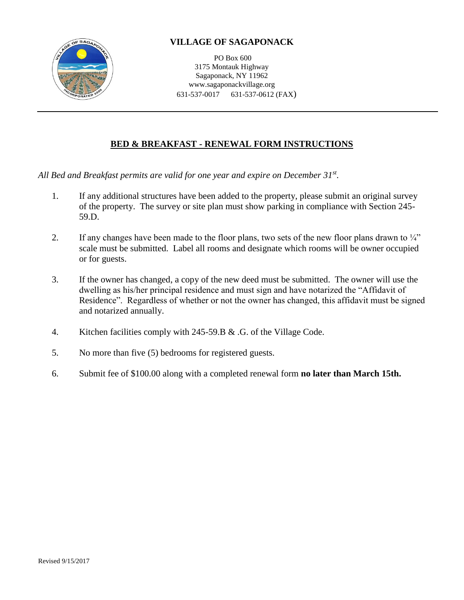

## **VILLAGE OF SAGAPONACK**

PO Box 600 3175 Montauk Highway Sagaponack, NY 11962 www.sagaponackvillage.org 631-537-0017 631-537-0612 (FAX)

## **BED & BREAKFAST - RENEWAL FORM INSTRUCTIONS**

*All Bed and Breakfast permits are valid for one year and expire on December 31st .*

- 1. If any additional structures have been added to the property, please submit an original survey of the property. The survey or site plan must show parking in compliance with Section 245- 59.D.
- 2. If any changes have been made to the floor plans, two sets of the new floor plans drawn to  $\frac{1}{4}$ " scale must be submitted. Label all rooms and designate which rooms will be owner occupied or for guests.
- 3. If the owner has changed, a copy of the new deed must be submitted. The owner will use the dwelling as his/her principal residence and must sign and have notarized the "Affidavit of Residence". Regardless of whether or not the owner has changed, this affidavit must be signed and notarized annually.
- 4. Kitchen facilities comply with 245-59.B & .G. of the Village Code.
- 5. No more than five (5) bedrooms for registered guests.
- 6. Submit fee of \$100.00 along with a completed renewal form **no later than March 15th.**